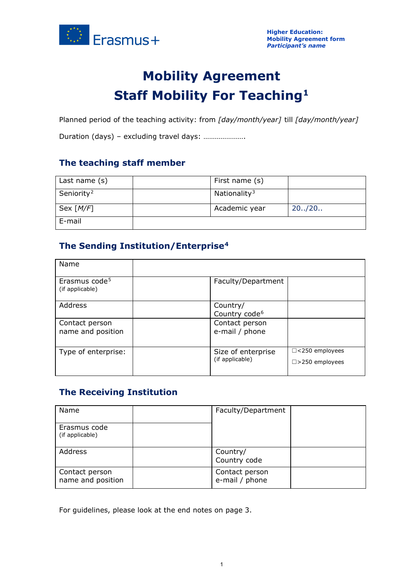

# **Mobility Agreement Staff Mobility For Teaching[1](#page-2-0)**

Planned period of the teaching activity: from *[day/month/year]* till *[day/month/year]*

Duration (days) – excluding travel days: ………………….

# **The teaching staff member**

| Last name (s)          | First name (s)           |         |
|------------------------|--------------------------|---------|
| Seniority <sup>2</sup> | Nationality <sup>3</sup> |         |
| Sex $[M/F]$            | Academic year            | 20.720. |
| E-mail                 |                          |         |

# **The Sending Institution/Enterprise[4](#page-2-3)**

| Name                                         |                                       |                                                    |
|----------------------------------------------|---------------------------------------|----------------------------------------------------|
| Erasmus code <sup>5</sup><br>(if applicable) | Faculty/Department                    |                                                    |
| Address                                      | Country/<br>Country code <sup>6</sup> |                                                    |
| Contact person<br>name and position          | Contact person<br>e-mail / phone      |                                                    |
| Type of enterprise:                          | Size of enterprise<br>(if applicable) | $\Box$ <250 employees<br>$\square$ > 250 employees |

# **The Receiving Institution**

| Name                                | Faculty/Department               |  |
|-------------------------------------|----------------------------------|--|
| Erasmus code<br>(if applicable)     |                                  |  |
| Address                             | Country/<br>Country code         |  |
| Contact person<br>name and position | Contact person<br>e-mail / phone |  |

For guidelines, please look at the end notes on page 3.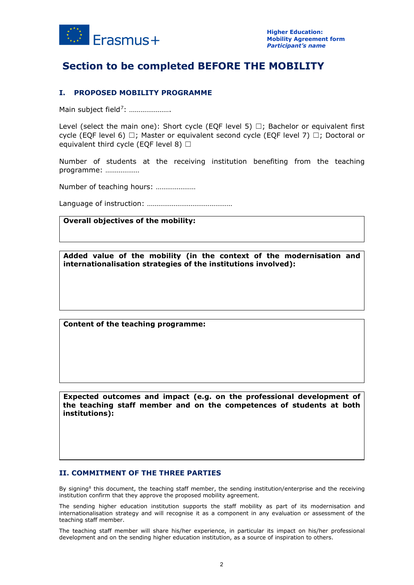

# **Section to be completed BEFORE THE MOBILITY**

## **I. PROPOSED MOBILITY PROGRAMME**

Main subject field<sup>7</sup>: ......................

Level (select the main one): Short cycle (EOF level 5)  $\Box$ ; Bachelor or equivalent first cycle (EQF level 6)  $\Box$ ; Master or equivalent second cycle (EQF level 7)  $\Box$ ; Doctoral or equivalent third cycle (EQF level 8)  $\Box$ 

Number of students at the receiving institution benefiting from the teaching programme: ………………

Number of teaching hours: …………………

Language of instruction: ………………………………………

#### **Overall objectives of the mobility:**

**Added value of the mobility (in the context of the modernisation and internationalisation strategies of the institutions involved):**

**Content of the teaching programme:**

**Expected outcomes and impact (e.g. on the professional development of the teaching staff member and on the competences of students at both institutions):**

#### **II. COMMITMENT OF THE THREE PARTIES**

By signing<sup>[8](#page-2-7)</sup> this document, the teaching staff member, the sending institution/enterprise and the receiving institution confirm that they approve the proposed mobility agreement.

The sending higher education institution supports the staff mobility as part of its modernisation and internationalisation strategy and will recognise it as a component in any evaluation or assessment of the teaching staff member.

The teaching staff member will share his/her experience, in particular its impact on his/her professional development and on the sending higher education institution, as a source of inspiration to others.